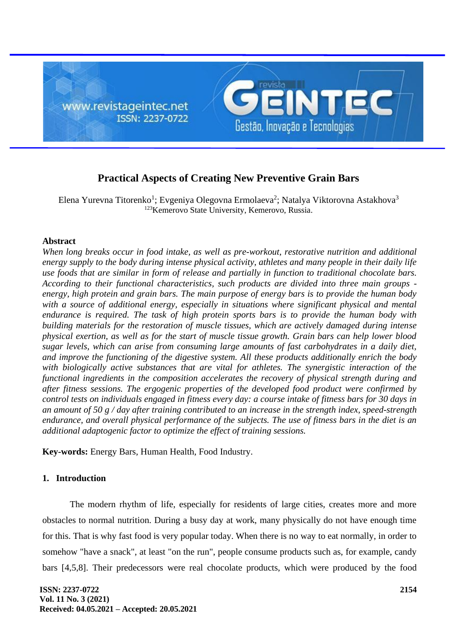

# **Practical Aspects of Creating New Preventive Grain Bars**

Elena Yurevna Titorenko<sup>1</sup>; Evgeniya Olegovna Ermolaeva<sup>2</sup>; Natalya Viktorovna Astakhova<sup>3</sup> <sup>123</sup>Kemerovo State University, Kemerovo, Russia.

### **Abstract**

*When long breaks occur in food intake, as well as pre-workout, restorative nutrition and additional energy supply to the body during intense physical activity, athletes and many people in their daily life use foods that are similar in form of release and partially in function to traditional chocolate bars. According to their functional characteristics, such products are divided into three main groups energy, high protein and grain bars. The main purpose of energy bars is to provide the human body*  with a source of additional energy, especially in situations where significant physical and mental *endurance is required. The task of high protein sports bars is to provide the human body with building materials for the restoration of muscle tissues, which are actively damaged during intense physical exertion, as well as for the start of muscle tissue growth. Grain bars can help lower blood sugar levels, which can arise from consuming large amounts of fast carbohydrates in a daily diet, and improve the functioning of the digestive system. All these products additionally enrich the body with biologically active substances that are vital for athletes. The synergistic interaction of the functional ingredients in the composition accelerates the recovery of physical strength during and after fitness sessions. The ergogenic properties of the developed food product were confirmed by control tests on individuals engaged in fitness every day: a course intake of fitness bars for 30 days in an amount of 50 g / day after training contributed to an increase in the strength index, speed-strength endurance, and overall physical performance of the subjects. The use of fitness bars in the diet is an additional adaptogenic factor to optimize the effect of training sessions.*

**Key-words:** Energy Bars, Human Health, Food Industry.

#### **1. Introduction**

The modern rhythm of life, especially for residents of large cities, creates more and more obstacles to normal nutrition. During a busy day at work, many physically do not have enough time for this. That is why fast food is very popular today. When there is no way to eat normally, in order to somehow "have a snack", at least "on the run", people consume products such as, for example, candy bars [4,5,8]. Their predecessors were real chocolate products, which were produced by the food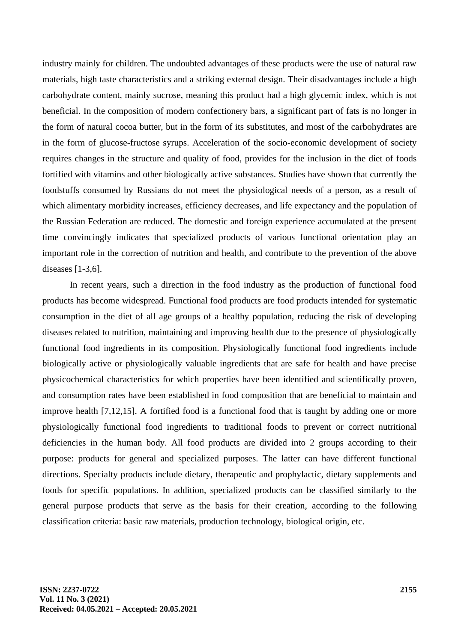industry mainly for children. The undoubted advantages of these products were the use of natural raw materials, high taste characteristics and a striking external design. Their disadvantages include a high carbohydrate content, mainly sucrose, meaning this product had a high glycemic index, which is not beneficial. In the composition of modern confectionery bars, a significant part of fats is no longer in the form of natural cocoa butter, but in the form of its substitutes, and most of the carbohydrates are in the form of glucose-fructose syrups. Acceleration of the socio-economic development of society requires changes in the structure and quality of food, provides for the inclusion in the diet of foods fortified with vitamins and other biologically active substances. Studies have shown that currently the foodstuffs consumed by Russians do not meet the physiological needs of a person, as a result of which alimentary morbidity increases, efficiency decreases, and life expectancy and the population of the Russian Federation are reduced. The domestic and foreign experience accumulated at the present time convincingly indicates that specialized products of various functional orientation play an important role in the correction of nutrition and health, and contribute to the prevention of the above diseases [1-3,6].

In recent years, such a direction in the food industry as the production of functional food products has become widespread. Functional food products are food products intended for systematic consumption in the diet of all age groups of a healthy population, reducing the risk of developing diseases related to nutrition, maintaining and improving health due to the presence of physiologically functional food ingredients in its composition. Physiologically functional food ingredients include biologically active or physiologically valuable ingredients that are safe for health and have precise physicochemical characteristics for which properties have been identified and scientifically proven, and consumption rates have been established in food composition that are beneficial to maintain and improve health [7,12,15]. A fortified food is a functional food that is taught by adding one or more physiologically functional food ingredients to traditional foods to prevent or correct nutritional deficiencies in the human body. All food products are divided into 2 groups according to their purpose: products for general and specialized purposes. The latter can have different functional directions. Specialty products include dietary, therapeutic and prophylactic, dietary supplements and foods for specific populations. In addition, specialized products can be classified similarly to the general purpose products that serve as the basis for their creation, according to the following classification criteria: basic raw materials, production technology, biological origin, etc.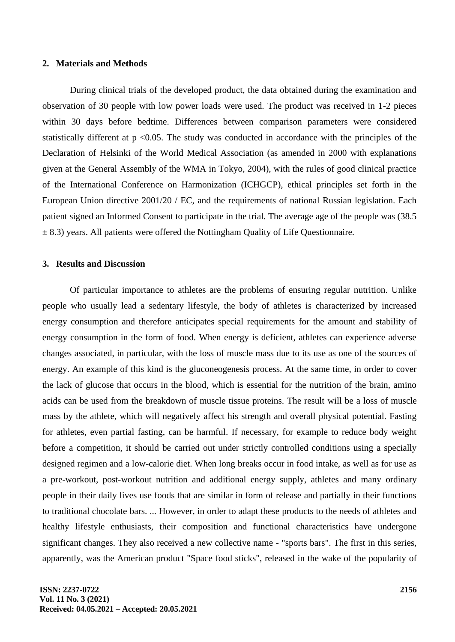#### **2. Materials and Methods**

During clinical trials of the developed product, the data obtained during the examination and observation of 30 people with low power loads were used. The product was received in 1-2 pieces within 30 days before bedtime. Differences between comparison parameters were considered statistically different at  $p \le 0.05$ . The study was conducted in accordance with the principles of the Declaration of Helsinki of the World Medical Association (as amended in 2000 with explanations given at the General Assembly of the WMA in Tokyo, 2004), with the rules of good clinical practice of the International Conference on Harmonization (ICHGCP), ethical principles set forth in the European Union directive 2001/20 / EC, and the requirements of national Russian legislation. Each patient signed an Informed Consent to participate in the trial. The average age of the people was (38.5  $\pm$  8.3) years. All patients were offered the Nottingham Quality of Life Questionnaire.

## **3. Results and Discussion**

Of particular importance to athletes are the problems of ensuring regular nutrition. Unlike people who usually lead a sedentary lifestyle, the body of athletes is characterized by increased energy consumption and therefore anticipates special requirements for the amount and stability of energy consumption in the form of food. When energy is deficient, athletes can experience adverse changes associated, in particular, with the loss of muscle mass due to its use as one of the sources of energy. An example of this kind is the gluconeogenesis process. At the same time, in order to cover the lack of glucose that occurs in the blood, which is essential for the nutrition of the brain, amino acids can be used from the breakdown of muscle tissue proteins. The result will be a loss of muscle mass by the athlete, which will negatively affect his strength and overall physical potential. Fasting for athletes, even partial fasting, can be harmful. If necessary, for example to reduce body weight before a competition, it should be carried out under strictly controlled conditions using a specially designed regimen and a low-calorie diet. When long breaks occur in food intake, as well as for use as a pre-workout, post-workout nutrition and additional energy supply, athletes and many ordinary people in their daily lives use foods that are similar in form of release and partially in their functions to traditional chocolate bars. ... However, in order to adapt these products to the needs of athletes and healthy lifestyle enthusiasts, their composition and functional characteristics have undergone significant changes. They also received a new collective name - "sports bars". The first in this series, apparently, was the American product "Space food sticks", released in the wake of the popularity of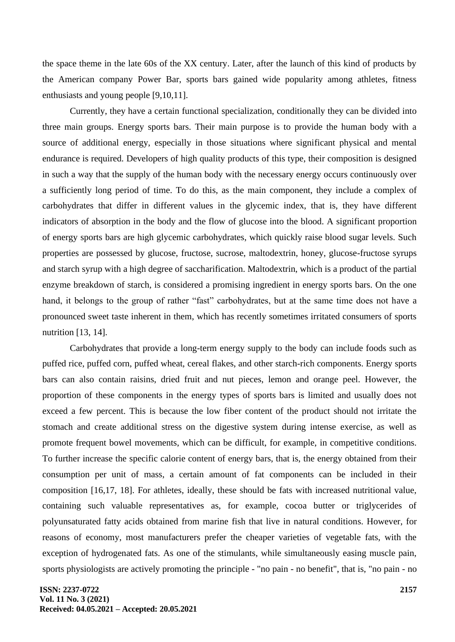the space theme in the late 60s of the XX century. Later, after the launch of this kind of products by the American company Power Bar, sports bars gained wide popularity among athletes, fitness enthusiasts and young people [9,10,11].

Currently, they have a certain functional specialization, conditionally they can be divided into three main groups. Energy sports bars. Their main purpose is to provide the human body with a source of additional energy, especially in those situations where significant physical and mental endurance is required. Developers of high quality products of this type, their composition is designed in such a way that the supply of the human body with the necessary energy occurs continuously over a sufficiently long period of time. To do this, as the main component, they include a complex of carbohydrates that differ in different values in the glycemic index, that is, they have different indicators of absorption in the body and the flow of glucose into the blood. A significant proportion of energy sports bars are high glycemic carbohydrates, which quickly raise blood sugar levels. Such properties are possessed by glucose, fructose, sucrose, maltodextrin, honey, glucose-fructose syrups and starch syrup with a high degree of saccharification. Maltodextrin, which is a product of the partial enzyme breakdown of starch, is considered a promising ingredient in energy sports bars. On the one hand, it belongs to the group of rather "fast" carbohydrates, but at the same time does not have a pronounced sweet taste inherent in them, which has recently sometimes irritated consumers of sports nutrition [13, 14].

Carbohydrates that provide a long-term energy supply to the body can include foods such as puffed rice, puffed corn, puffed wheat, cereal flakes, and other starch-rich components. Energy sports bars can also contain raisins, dried fruit and nut pieces, lemon and orange peel. However, the proportion of these components in the energy types of sports bars is limited and usually does not exceed a few percent. This is because the low fiber content of the product should not irritate the stomach and create additional stress on the digestive system during intense exercise, as well as promote frequent bowel movements, which can be difficult, for example, in competitive conditions. To further increase the specific calorie content of energy bars, that is, the energy obtained from their consumption per unit of mass, a certain amount of fat components can be included in their composition [16,17, 18]. For athletes, ideally, these should be fats with increased nutritional value, containing such valuable representatives as, for example, cocoa butter or triglycerides of polyunsaturated fatty acids obtained from marine fish that live in natural conditions. However, for reasons of economy, most manufacturers prefer the cheaper varieties of vegetable fats, with the exception of hydrogenated fats. As one of the stimulants, while simultaneously easing muscle pain, sports physiologists are actively promoting the principle - "no pain - no benefit", that is, "no pain - no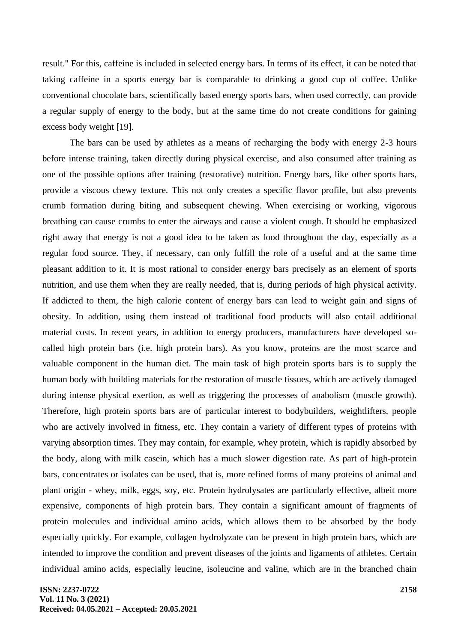result." For this, caffeine is included in selected energy bars. In terms of its effect, it can be noted that taking caffeine in a sports energy bar is comparable to drinking a good cup of coffee. Unlike conventional chocolate bars, scientifically based energy sports bars, when used correctly, can provide a regular supply of energy to the body, but at the same time do not create conditions for gaining excess body weight [19].

The bars can be used by athletes as a means of recharging the body with energy 2-3 hours before intense training, taken directly during physical exercise, and also consumed after training as one of the possible options after training (restorative) nutrition. Energy bars, like other sports bars, provide a viscous chewy texture. This not only creates a specific flavor profile, but also prevents crumb formation during biting and subsequent chewing. When exercising or working, vigorous breathing can cause crumbs to enter the airways and cause a violent cough. It should be emphasized right away that energy is not a good idea to be taken as food throughout the day, especially as a regular food source. They, if necessary, can only fulfill the role of a useful and at the same time pleasant addition to it. It is most rational to consider energy bars precisely as an element of sports nutrition, and use them when they are really needed, that is, during periods of high physical activity. If addicted to them, the high calorie content of energy bars can lead to weight gain and signs of obesity. In addition, using them instead of traditional food products will also entail additional material costs. In recent years, in addition to energy producers, manufacturers have developed socalled high protein bars (i.e. high protein bars). As you know, proteins are the most scarce and valuable component in the human diet. The main task of high protein sports bars is to supply the human body with building materials for the restoration of muscle tissues, which are actively damaged during intense physical exertion, as well as triggering the processes of anabolism (muscle growth). Therefore, high protein sports bars are of particular interest to bodybuilders, weightlifters, people who are actively involved in fitness, etc. They contain a variety of different types of proteins with varying absorption times. They may contain, for example, whey protein, which is rapidly absorbed by the body, along with milk casein, which has a much slower digestion rate. As part of high-protein bars, concentrates or isolates can be used, that is, more refined forms of many proteins of animal and plant origin - whey, milk, eggs, soy, etc. Protein hydrolysates are particularly effective, albeit more expensive, components of high protein bars. They contain a significant amount of fragments of protein molecules and individual amino acids, which allows them to be absorbed by the body especially quickly. For example, collagen hydrolyzate can be present in high protein bars, which are intended to improve the condition and prevent diseases of the joints and ligaments of athletes. Certain individual amino acids, especially leucine, isoleucine and valine, which are in the branched chain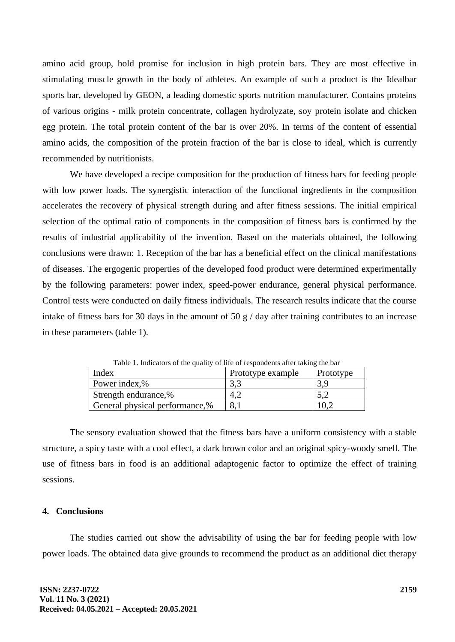amino acid group, hold promise for inclusion in high protein bars. They are most effective in stimulating muscle growth in the body of athletes. An example of such a product is the Idealbar sports bar, developed by GEON, a leading domestic sports nutrition manufacturer. Contains proteins of various origins - milk protein concentrate, collagen hydrolyzate, soy protein isolate and chicken egg protein. The total protein content of the bar is over 20%. In terms of the content of essential amino acids, the composition of the protein fraction of the bar is close to ideal, which is currently recommended by nutritionists.

We have developed a recipe composition for the production of fitness bars for feeding people with low power loads. The synergistic interaction of the functional ingredients in the composition accelerates the recovery of physical strength during and after fitness sessions. The initial empirical selection of the optimal ratio of components in the composition of fitness bars is confirmed by the results of industrial applicability of the invention. Based on the materials obtained, the following conclusions were drawn: 1. Reception of the bar has a beneficial effect on the clinical manifestations of diseases. The ergogenic properties of the developed food product were determined experimentally by the following parameters: power index, speed-power endurance, general physical performance. Control tests were conducted on daily fitness individuals. The research results indicate that the course intake of fitness bars for 30 days in the amount of 50 g / day after training contributes to an increase in these parameters (table 1).

| Index                          | Prototype example | Prototype |
|--------------------------------|-------------------|-----------|
| Power index,%                  |                   |           |
| Strength endurance,%           |                   |           |
| General physical performance,% |                   |           |

Table 1. Indicators of the quality of life of respondents after taking the bar

The sensory evaluation showed that the fitness bars have a uniform consistency with a stable structure, a spicy taste with a cool effect, a dark brown color and an original spicy-woody smell. The use of fitness bars in food is an additional adaptogenic factor to optimize the effect of training sessions.

#### **4. Conclusions**

The studies carried out show the advisability of using the bar for feeding people with low power loads. The obtained data give grounds to recommend the product as an additional diet therapy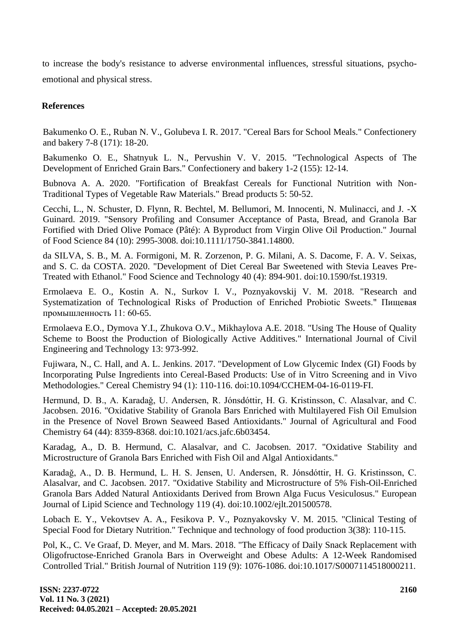to increase the body's resistance to adverse environmental influences, stressful situations, psychoemotional and physical stress.

# **References**

Bakumenko O. E., Ruban N. V., Golubeva I. R. 2017. "Cereal Bars for School Meals." Confectionery and bakery 7-8 (171): 18-20.

Bakumenko O. E., Shatnyuk L. N., Pervushin V. V. 2015. "Technological Aspects of The Development of Enriched Grain Bars." Confectionery and bakery 1-2 (155): 12-14.

Bubnova A. A. 2020. "Fortification of Breakfast Cereals for Functional Nutrition with Non-Traditional Types of Vegetable Raw Materials." Bread products 5: 50-52.

Cecchi, L., N. Schuster, D. Flynn, R. Bechtel, M. Bellumori, M. Innocenti, N. Mulinacci, and J. -X Guinard. 2019. "Sensory Profiling and Consumer Acceptance of Pasta, Bread, and Granola Bar Fortified with Dried Olive Pomace (Pâté): A Byproduct from Virgin Olive Oil Production." Journal of Food Science 84 (10): 2995-3008. doi:10.1111/1750-3841.14800.

da SILVA, S. B., M. A. Formigoni, M. R. Zorzenon, P. G. Milani, A. S. Dacome, F. A. V. Seixas, and S. C. da COSTA. 2020. "Development of Diet Cereal Bar Sweetened with Stevia Leaves Pre-Treated with Ethanol." Food Science and Technology 40 (4): 894-901. doi:10.1590/fst.19319.

Ermolaeva E. O., Kostin A. N., Surkov I. V., Poznyakovskij V. M. 2018. "Research and Systematization of Technological Risks of Production of Enriched Probiotic Sweets." Пищевая промышленность 11: 60-65.

Ermolaeva E.O., Dymova Y.I., Zhukova O.V., Mikhaylova A.E. 2018. "Using The House of Quality Scheme to Boost the Production of Biologically Active Additives." International Journal of Civil Engineering and Technology 13: 973-992.

Fujiwara, N., C. Hall, and A. L. Jenkins. 2017. "Development of Low Glycemic Index (GI) Foods by Incorporating Pulse Ingredients into Cereal-Based Products: Use of in Vitro Screening and in Vivo Methodologies." Cereal Chemistry 94 (1): 110-116. doi:10.1094/CCHEM-04-16-0119-FI.

Hermund, D. B., A. Karadaǧ, U. Andersen, R. Jónsdóttir, H. G. Kristinsson, C. Alasalvar, and C. Jacobsen. 2016. "Oxidative Stability of Granola Bars Enriched with Multilayered Fish Oil Emulsion in the Presence of Novel Brown Seaweed Based Antioxidants." Journal of Agricultural and Food Chemistry 64 (44): 8359-8368. doi:10.1021/acs.jafc.6b03454.

Karadag, A., D. B. Hermund, C. Alasalvar, and C. Jacobsen. 2017. "Oxidative Stability and Microstructure of Granola Bars Enriched with Fish Oil and Algal Antioxidants."

Karadağ, A., D. B. Hermund, L. H. S. Jensen, U. Andersen, R. Jónsdóttir, H. G. Kristinsson, C. Alasalvar, and C. Jacobsen. 2017. "Oxidative Stability and Microstructure of 5% Fish-Oil-Enriched Granola Bars Added Natural Antioxidants Derived from Brown Alga Fucus Vesiculosus." European Journal of Lipid Science and Technology 119 (4). doi:10.1002/ejlt.201500578.

Lobach E. Y., Vekovtsev A. A., Fesikova P. V., Poznyakovsky V. M. 2015. "Clinical Testing of Special Food for Dietary Nutrition." Technique and technology of food production 3(38): 110-115.

Pol, K., C. Ve Graaf, D. Meyer, and M. Mars. 2018. "The Efficacy of Daily Snack Replacement with Oligofructose-Enriched Granola Bars in Overweight and Obese Adults: A 12-Week Randomised Controlled Trial." British Journal of Nutrition 119 (9): 1076-1086. doi:10.1017/S0007114518000211.